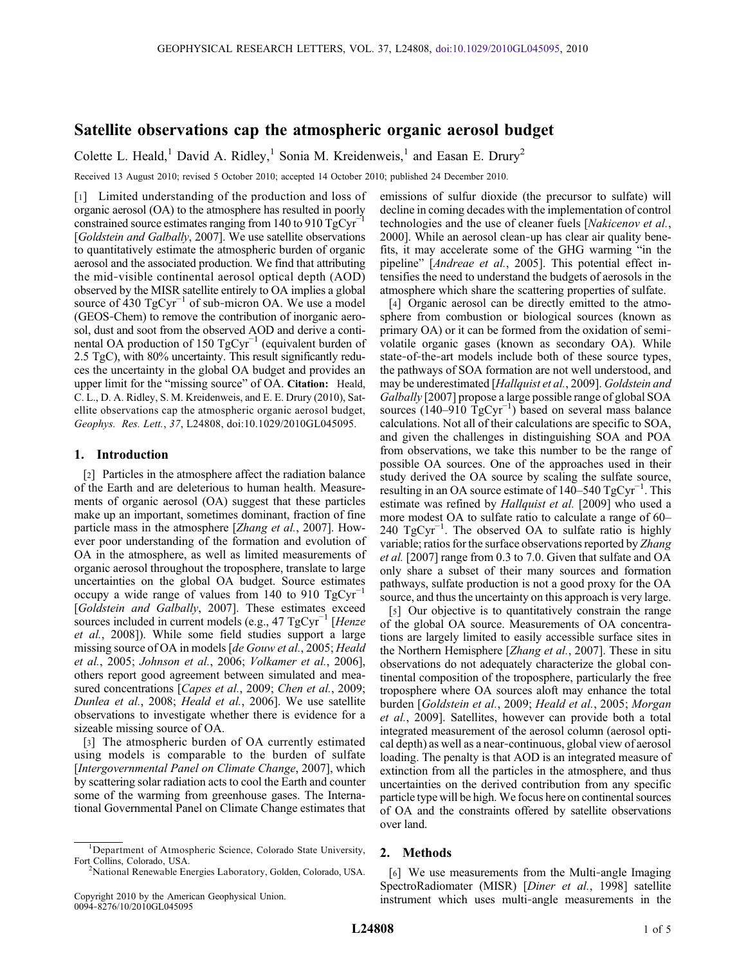# Satellite observations cap the atmospheric organic aerosol budget

Colette L. Heald,<sup>1</sup> David A. Ridley,<sup>1</sup> Sonia M. Kreidenweis,<sup>1</sup> and Easan E. Drury<sup>2</sup>

Received 13 August 2010; revised 5 October 2010; accepted 14 October 2010; published 24 December 2010.

[1] Limited understanding of the production and loss of organic aerosol (OA) to the atmosphere has resulted in poorly constrained source estimates ranging from 140 to 910  $TgCyr^{-1}$ [Goldstein and Galbally, 2007]. We use satellite observations to quantitatively estimate the atmospheric burden of organic aerosol and the associated production. We find that attributing the mid‐visible continental aerosol optical depth (AOD) observed by the MISR satellite entirely to OA implies a global source of 430  $TgCyr^{-1}$  of sub-micron OA. We use a model (GEOS‐Chem) to remove the contribution of inorganic aerosol, dust and soot from the observed AOD and derive a continental OA production of 150  $TgCyr^{-1}$  (equivalent burden of 2.5 TgC), with 80% uncertainty. This result significantly reduces the uncertainty in the global OA budget and provides an upper limit for the "missing source" of OA. Citation: Heald, C. L., D. A. Ridley, S. M. Kreidenweis, and E. E. Drury (2010), Satellite observations cap the atmospheric organic aerosol budget, Geophys. Res. Lett., 37, L24808, doi:10.1029/2010GL045095.

# 1. Introduction

[2] Particles in the atmosphere affect the radiation balance of the Earth and are deleterious to human health. Measurements of organic aerosol (OA) suggest that these particles make up an important, sometimes dominant, fraction of fine particle mass in the atmosphere [Zhang et al., 2007]. However poor understanding of the formation and evolution of OA in the atmosphere, as well as limited measurements of organic aerosol throughout the troposphere, translate to large uncertainties on the global OA budget. Source estimates occupy a wide range of values from 140 to 910  $TgCyr^{-1}$ [Goldstein and Galbally, 2007]. These estimates exceed sources included in current models (e.g., 47 TgCyr<sup>-1</sup> [Henze et al., 2008]). While some field studies support a large missing source of OA in models [de Gouw et al., 2005; Heald et al., 2005; Johnson et al., 2006; Volkamer et al., 2006], others report good agreement between simulated and measured concentrations [Capes et al., 2009; Chen et al., 2009; Dunlea et al., 2008; Heald et al., 2006]. We use satellite observations to investigate whether there is evidence for a sizeable missing source of OA.

[3] The atmospheric burden of OA currently estimated using models is comparable to the burden of sulfate [Intergovernmental Panel on Climate Change, 2007], which by scattering solar radiation acts to cool the Earth and counter some of the warming from greenhouse gases. The International Governmental Panel on Climate Change estimates that emissions of sulfur dioxide (the precursor to sulfate) will decline in coming decades with the implementation of control technologies and the use of cleaner fuels [Nakicenov et al., 2000]. While an aerosol clean‐up has clear air quality benefits, it may accelerate some of the GHG warming "in the pipeline" [Andreae et al., 2005]. This potential effect intensifies the need to understand the budgets of aerosols in the atmosphere which share the scattering properties of sulfate.

[4] Organic aerosol can be directly emitted to the atmosphere from combustion or biological sources (known as primary OA) or it can be formed from the oxidation of semi‐ volatile organic gases (known as secondary OA). While state-of-the-art models include both of these source types, the pathways of SOA formation are not well understood, and may be underestimated [Hallquist et al., 2009]. Goldstein and Galbally [2007] propose a large possible range of global SOA sources  $(140-910 \text{ TgCyr}^{-1})$  based on several mass balance calculations. Not all of their calculations are specific to SOA, and given the challenges in distinguishing SOA and POA from observations, we take this number to be the range of possible OA sources. One of the approaches used in their study derived the OA source by scaling the sulfate source, resulting in an OA source estimate of  $140-540$  TgCyr<sup>-1</sup>. This estimate was refined by Hallquist et al. [2009] who used a more modest OA to sulfate ratio to calculate a range of 60– 240 TgCyr<sup>-1</sup>. The observed OA to sulfate ratio is highly variable; ratios for the surface observations reported by Zhang et al. [2007] range from 0.3 to 7.0. Given that sulfate and OA only share a subset of their many sources and formation pathways, sulfate production is not a good proxy for the OA source, and thus the uncertainty on this approach is very large.

[5] Our objective is to quantitatively constrain the range of the global OA source. Measurements of OA concentrations are largely limited to easily accessible surface sites in the Northern Hemisphere [Zhang et al., 2007]. These in situ observations do not adequately characterize the global continental composition of the troposphere, particularly the free troposphere where OA sources aloft may enhance the total burden [Goldstein et al., 2009; Heald et al., 2005; Morgan et al., 2009]. Satellites, however can provide both a total integrated measurement of the aerosol column (aerosol optical depth) as well as a near‐continuous, global view of aerosol loading. The penalty is that AOD is an integrated measure of extinction from all the particles in the atmosphere, and thus uncertainties on the derived contribution from any specific particle type will be high. We focus here on continental sources of OA and the constraints offered by satellite observations over land.

# 2. Methods

[6] We use measurements from the Multi-angle Imaging SpectroRadiomater (MISR) [Diner et al., 1998] satellite instrument which uses multi‐angle measurements in the

<sup>1</sup> Department of Atmospheric Science, Colorado State University, Fort Collins, Colorado, USA.

<sup>2</sup> National Renewable Energies Laboratory, Golden, Colorado, USA.

Copyright 2010 by the American Geophysical Union. 0094‐8276/10/2010GL045095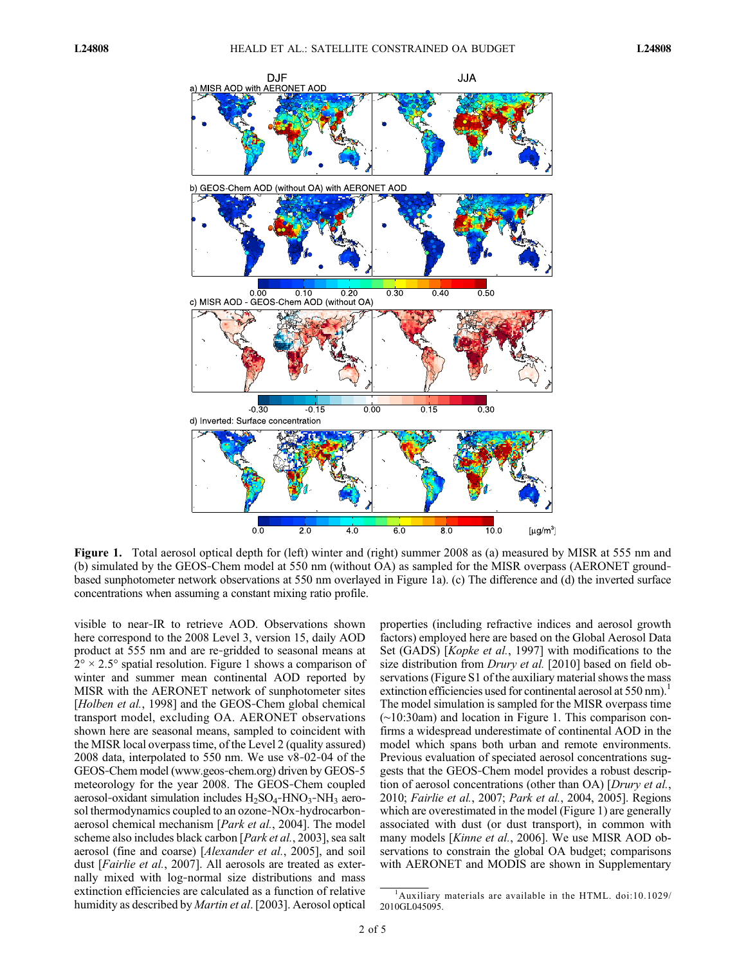

Figure 1. Total aerosol optical depth for (left) winter and (right) summer 2008 as (a) measured by MISR at 555 nm and (b) simulated by the GEOS‐Chem model at 550 nm (without OA) as sampled for the MISR overpass (AERONET ground‐ based sunphotometer network observations at 550 nm overlayed in Figure 1a). (c) The difference and (d) the inverted surface concentrations when assuming a constant mixing ratio profile.

visible to near‐IR to retrieve AOD. Observations shown here correspond to the 2008 Level 3, version 15, daily AOD product at 555 nm and are re‐gridded to seasonal means at  $2^{\circ} \times 2.5^{\circ}$  spatial resolution. Figure 1 shows a comparison of winter and summer mean continental AOD reported by MISR with the AERONET network of sunphotometer sites [Holben et al., 1998] and the GEOS-Chem global chemical transport model, excluding OA. AERONET observations shown here are seasonal means, sampled to coincident with the MISR local overpass time, of the Level 2 (quality assured) 2008 data, interpolated to 550 nm. We use v8‐02‐04 of the GEOS‐Chem model (www.geos‐chem.org) driven by GEOS‐5 meteorology for the year 2008. The GEOS‐Chem coupled aerosol-oxidant simulation includes  $H_2SO_4$ -HNO<sub>3</sub>-NH<sub>3</sub> aerosol thermodynamics coupled to an ozone‐NOx‐hydrocarbon‐ aerosol chemical mechanism [Park et al., 2004]. The model scheme also includes black carbon [Park et al., 2003], sea salt aerosol (fine and coarse) [Alexander et al., 2005], and soil dust [Fairlie et al., 2007]. All aerosols are treated as externally mixed with log‐normal size distributions and mass extinction efficiencies are calculated as a function of relative humidity as described by Martin et al. [2003]. Aerosol optical

properties (including refractive indices and aerosol growth factors) employed here are based on the Global Aerosol Data Set (GADS) [Kopke et al., 1997] with modifications to the size distribution from Drury et al. [2010] based on field observations (Figure S1 of the auxiliary material shows the mass extinction efficiencies used for continental aerosol at 550 nm).<sup>1</sup> The model simulation is sampled for the MISR overpass time (∼10:30am) and location in Figure 1. This comparison confirms a widespread underestimate of continental AOD in the model which spans both urban and remote environments. Previous evaluation of speciated aerosol concentrations suggests that the GEOS‐Chem model provides a robust description of aerosol concentrations (other than OA) [Drury et al., 2010; Fairlie et al., 2007; Park et al., 2004, 2005]. Regions which are overestimated in the model (Figure 1) are generally associated with dust (or dust transport), in common with many models [*Kinne et al.*, 2006]. We use MISR AOD observations to constrain the global OA budget; comparisons with AERONET and MODIS are shown in Supplementary

<sup>1</sup> Auxiliary materials are available in the HTML. doi:10.1029/ 2010GL045095.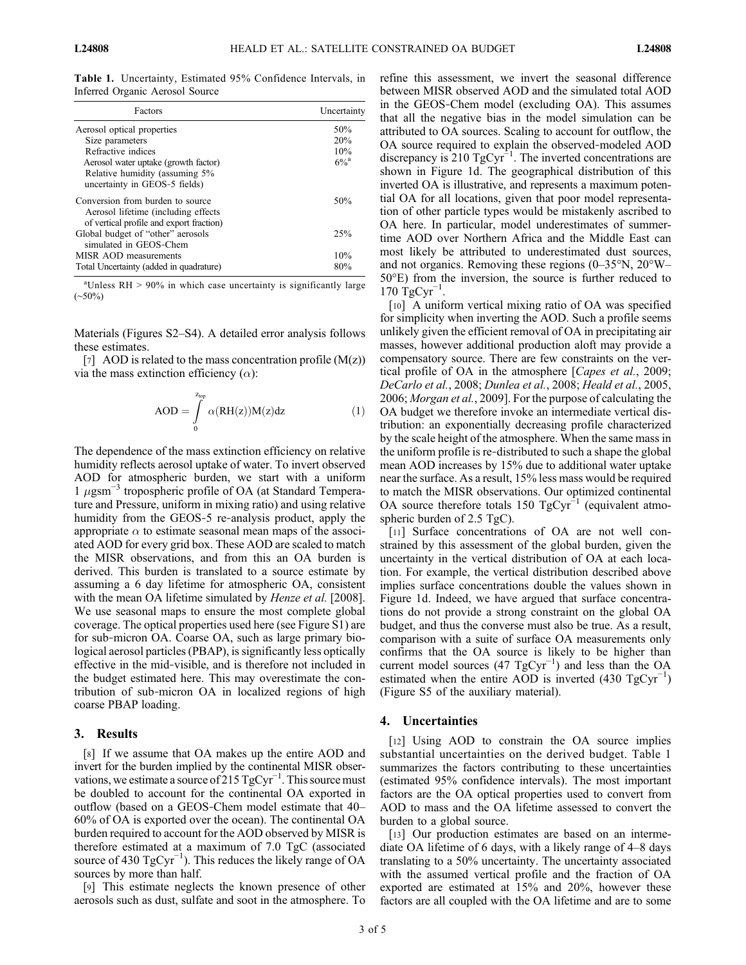Table 1. Uncertainty, Estimated 95% Confidence Intervals, in Inferred Organic Aerosol Source

| Factors                                                                                                             | Uncertainty   |
|---------------------------------------------------------------------------------------------------------------------|---------------|
| Aerosol optical properties                                                                                          | 50%           |
| Size parameters                                                                                                     | 20%           |
| Refractive indices                                                                                                  | 10%           |
| Aerosol water uptake (growth factor)<br>Relative humidity (assuming 5%<br>uncertainty in GEOS-5 fields)             | $6\%^{\rm a}$ |
| Conversion from burden to source<br>Aerosol lifetime (including effects<br>of vertical profile and export fraction) | 50%           |
| Global budget of "other" aerosols<br>simulated in GEOS-Chem                                                         | 25%           |
| MISR AOD measurements                                                                                               | 10%           |
| Total Uncertainty (added in quadrature)                                                                             | 80%           |

<sup>a</sup>Unless RH > 90% in which case uncertainty is significantly large (∼50%)

Materials (Figures S2–S4). A detailed error analysis follows these estimates.

[7] AOD is related to the mass concentration profile  $(M(z))$ via the mass extinction efficiency  $(\alpha)$ :

$$
AOD = \int_{0}^{z_{top}} \alpha(RH(z))M(z)dz
$$
 (1)

The dependence of the mass extinction efficiency on relative humidity reflects aerosol uptake of water. To invert observed AOD for atmospheric burden, we start with a uniform 1  $\mu$ gsm<sup>-3</sup> tropospheric profile of OA (at Standard Temperature and Pressure, uniform in mixing ratio) and using relative humidity from the GEOS‐5 re‐analysis product, apply the appropriate  $\alpha$  to estimate seasonal mean maps of the associated AOD for every grid box. These AOD are scaled to match the MISR observations, and from this an OA burden is derived. This burden is translated to a source estimate by assuming a 6 day lifetime for atmospheric OA, consistent with the mean OA lifetime simulated by *Henze et al.* [2008]. We use seasonal maps to ensure the most complete global coverage. The optical properties used here (see Figure S1) are for sub‐micron OA. Coarse OA, such as large primary biological aerosol particles (PBAP), is significantly less optically effective in the mid‐visible, and is therefore not included in the budget estimated here. This may overestimate the contribution of sub‐micron OA in localized regions of high coarse PBAP loading.

### 3. Results

[8] If we assume that OA makes up the entire AOD and invert for the burden implied by the continental MISR observations, we estimate a source of 215  $TgCyr^{-1}$ . This source must be doubled to account for the continental OA exported in outflow (based on a GEOS‐Chem model estimate that 40– 60% of OA is exported over the ocean). The continental OA burden required to account for the AOD observed by MISR is therefore estimated at a maximum of 7.0 TgC (associated source of 430  $TgCyr^{-1}$ ). This reduces the likely range of OA sources by more than half.

[9] This estimate neglects the known presence of other aerosols such as dust, sulfate and soot in the atmosphere. To

refine this assessment, we invert the seasonal difference between MISR observed AOD and the simulated total AOD in the GEOS‐Chem model (excluding OA). This assumes that all the negative bias in the model simulation can be attributed to OA sources. Scaling to account for outflow, the OA source required to explain the observed‐modeled AOD discrepancy is 210 TgCyr<sup> $^{-1}$ </sup>. The inverted concentrations are shown in Figure 1d. The geographical distribution of this inverted OA is illustrative, and represents a maximum potential OA for all locations, given that poor model representation of other particle types would be mistakenly ascribed to OA here. In particular, model underestimates of summertime AOD over Northern Africa and the Middle East can most likely be attributed to underestimated dust sources, and not organics. Removing these regions (0–35°N, 20°W– 50°E) from the inversion, the source is further reduced to  $170 \text{ TgCyr}^{-1}$ .

[10] A uniform vertical mixing ratio of OA was specified for simplicity when inverting the AOD. Such a profile seems unlikely given the efficient removal of OA in precipitating air masses, however additional production aloft may provide a compensatory source. There are few constraints on the vertical profile of OA in the atmosphere [*Capes et al.*, 2009; DeCarlo et al., 2008; Dunlea et al., 2008; Heald et al., 2005, 2006; Morgan et al., 2009]. For the purpose of calculating the OA budget we therefore invoke an intermediate vertical distribution: an exponentially decreasing profile characterized by the scale height of the atmosphere. When the same mass in the uniform profile is re‐distributed to such a shape the global mean AOD increases by 15% due to additional water uptake near the surface. As a result, 15% less mass would be required to match the MISR observations. Our optimized continental OA source therefore totals 150  $TgCyr^{-1}$  (equivalent atmospheric burden of 2.5 TgC).

[11] Surface concentrations of OA are not well constrained by this assessment of the global burden, given the uncertainty in the vertical distribution of OA at each location. For example, the vertical distribution described above implies surface concentrations double the values shown in Figure 1d. Indeed, we have argued that surface concentrations do not provide a strong constraint on the global OA budget, and thus the converse must also be true. As a result, comparison with a suite of surface OA measurements only confirms that the OA source is likely to be higher than current model sources  $(47 \text{ TgCyr}^{-1})$  and less than the OA estimated when the entire AOD is inverted (430  $TgCyr^{-1}$ ) (Figure S5 of the auxiliary material).

# 4. Uncertainties

[12] Using AOD to constrain the OA source implies substantial uncertainties on the derived budget. Table 1 summarizes the factors contributing to these uncertainties (estimated 95% confidence intervals). The most important factors are the OA optical properties used to convert from AOD to mass and the OA lifetime assessed to convert the burden to a global source.

[13] Our production estimates are based on an intermediate OA lifetime of 6 days, with a likely range of 4–8 days translating to a 50% uncertainty. The uncertainty associated with the assumed vertical profile and the fraction of OA exported are estimated at 15% and 20%, however these factors are all coupled with the OA lifetime and are to some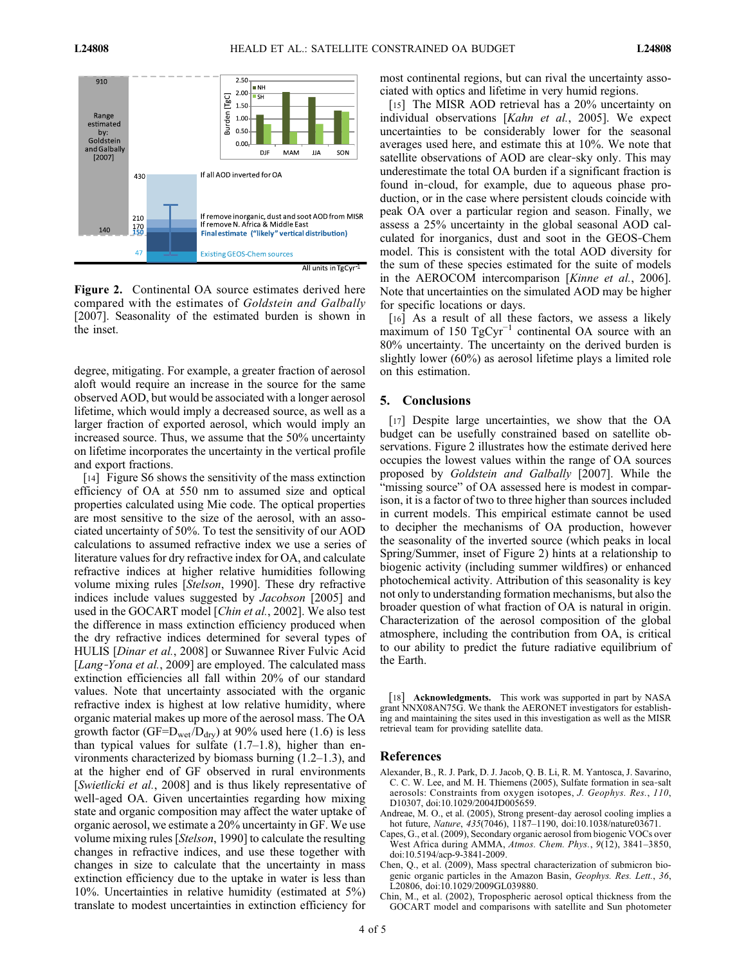

Figure 2. Continental OA source estimates derived here compared with the estimates of Goldstein and Galbally [2007]. Seasonality of the estimated burden is shown in the inset.

degree, mitigating. For example, a greater fraction of aerosol aloft would require an increase in the source for the same observed AOD, but would be associated with a longer aerosol lifetime, which would imply a decreased source, as well as a larger fraction of exported aerosol, which would imply an increased source. Thus, we assume that the 50% uncertainty on lifetime incorporates the uncertainty in the vertical profile and export fractions.

[14] Figure S6 shows the sensitivity of the mass extinction efficiency of OA at 550 nm to assumed size and optical properties calculated using Mie code. The optical properties are most sensitive to the size of the aerosol, with an associated uncertainty of 50%. To test the sensitivity of our AOD calculations to assumed refractive index we use a series of literature values for dry refractive index for OA, and calculate refractive indices at higher relative humidities following volume mixing rules [Stelson, 1990]. These dry refractive indices include values suggested by Jacobson [2005] and used in the GOCART model [Chin et al., 2002]. We also test the difference in mass extinction efficiency produced when the dry refractive indices determined for several types of HULIS [Dinar et al., 2008] or Suwannee River Fulvic Acid [*Lang-Yona et al.,* 2009] are employed. The calculated mass extinction efficiencies all fall within 20% of our standard values. Note that uncertainty associated with the organic refractive index is highest at low relative humidity, where organic material makes up more of the aerosol mass. The OA growth factor (GF= $D_{wet}/D_{drv}$ ) at 90% used here (1.6) is less than typical values for sulfate  $(1.7–1.8)$ , higher than environments characterized by biomass burning (1.2–1.3), and at the higher end of GF observed in rural environments [Swietlicki et al., 2008] and is thus likely representative of well-aged OA. Given uncertainties regarding how mixing state and organic composition may affect the water uptake of organic aerosol, we estimate a 20% uncertainty in GF. We use volume mixing rules [Stelson, 1990] to calculate the resulting changes in refractive indices, and use these together with changes in size to calculate that the uncertainty in mass extinction efficiency due to the uptake in water is less than 10%. Uncertainties in relative humidity (estimated at 5%) translate to modest uncertainties in extinction efficiency for

most continental regions, but can rival the uncertainty associated with optics and lifetime in very humid regions.

[15] The MISR AOD retrieval has a 20% uncertainty on individual observations [Kahn et al., 2005]. We expect uncertainties to be considerably lower for the seasonal averages used here, and estimate this at 10%. We note that satellite observations of AOD are clear-sky only. This may underestimate the total OA burden if a significant fraction is found in‐cloud, for example, due to aqueous phase production, or in the case where persistent clouds coincide with peak OA over a particular region and season. Finally, we assess a 25% uncertainty in the global seasonal AOD calculated for inorganics, dust and soot in the GEOS‐Chem model. This is consistent with the total AOD diversity for the sum of these species estimated for the suite of models in the AEROCOM intercomparison [Kinne et al., 2006]. Note that uncertainties on the simulated AOD may be higher for specific locations or days.

[16] As a result of all these factors, we assess a likely maximum of 150 TgCyr<sup>-1</sup> continental OA source with an 80% uncertainty. The uncertainty on the derived burden is slightly lower (60%) as aerosol lifetime plays a limited role on this estimation.

# 5. Conclusions

[17] Despite large uncertainties, we show that the OA budget can be usefully constrained based on satellite observations. Figure 2 illustrates how the estimate derived here occupies the lowest values within the range of OA sources proposed by Goldstein and Galbally [2007]. While the "missing source" of OA assessed here is modest in comparison, it is a factor of two to three higher than sources included in current models. This empirical estimate cannot be used to decipher the mechanisms of OA production, however the seasonality of the inverted source (which peaks in local Spring/Summer, inset of Figure 2) hints at a relationship to biogenic activity (including summer wildfires) or enhanced photochemical activity. Attribution of this seasonality is key not only to understanding formation mechanisms, but also the broader question of what fraction of OA is natural in origin. Characterization of the aerosol composition of the global atmosphere, including the contribution from OA, is critical to our ability to predict the future radiative equilibrium of the Earth.

[18] **Acknowledgments.** This work was supported in part by NASA grant NNX08AN75G. We thank the AERONET investigators for establishing and maintaining the sites used in this investigation as well as the MISR retrieval team for providing satellite data.

#### References

- Alexander, B., R. J. Park, D. J. Jacob, Q. B. Li, R. M. Yantosca, J. Savarino, C. C. W. Lee, and M. H. Thiemens (2005), Sulfate formation in sea‐salt aerosols: Constraints from oxygen isotopes, J. Geophys. Res., 110, D10307, doi:10.1029/2004JD005659.
- Andreae, M. O., et al. (2005), Strong present‐day aerosol cooling implies a hot future, Nature, 435(7046), 1187-1190, doi:10.1038/nature03671.
- Capes, G., et al. (2009), Secondary organic aerosol from biogenic VOCs over West Africa during AMMA, Atmos. Chem. Phys., 9(12), 3841–3850, doi:10.5194/acp-9-3841-2009.
- Chen, Q., et al. (2009), Mass spectral characterization of submicron biogenic organic particles in the Amazon Basin, Geophys. Res. Lett., 36, L20806, doi:10.1029/2009GL039880.
- Chin, M., et al. (2002), Tropospheric aerosol optical thickness from the GOCART model and comparisons with satellite and Sun photometer